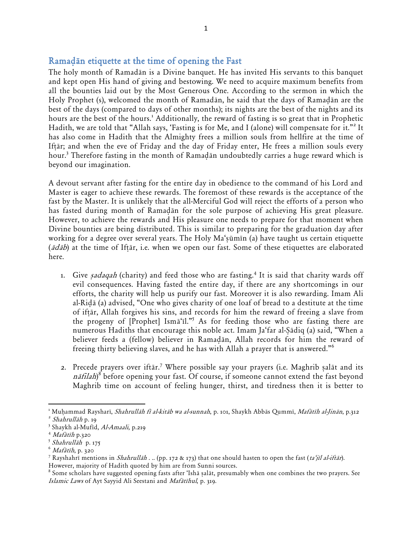## Ramadan etiquette at the time of opening the Fast

The holy month of Ramadān is a Divine banquet. He has invited His servants to this banquet and kept open His hand of giving and bestowing. We need to acquire maximum benefits from all the bounties laid out by the Most Generous One. According to the sermon in which the Holy Prophet (s), welcomed the month of Ramadan, he said that the days of Ramadan are the best of the days (compared to days of other months); its nights are the best of the nights and its hours are the best of the hours.<sup>1</sup> Additionally, the reward of fasting is so great that in Prophetic Hadith, we are told that "Allah says, 'Fasting is for Me, and I (alone) will compensate for it."<sup>2</sup> It has also come in Hadith that the Almighty frees a million souls from hellfire at the time of Iftar; and when the eve of Friday and the day of Friday enter, He frees a million souls every hour.<sup>3</sup> Therefore fasting in the month of Ramadān undoubtedly carries a huge reward which is beyond our imagination.

A devout servant after fasting for the entire day in obedience to the command of his Lord and Master is eager to achieve these rewards. The foremost of these rewards is the acceptance of the fast by the Master. It is unlikely that the all-Merciful God will reject the efforts of a person who has fasted during month of Ramadān for the sole purpose of achieving His great pleasure. However, to achieve the rewards and His pleasure one needs to prepare for that moment when Divine bounties are being distributed. This is similar to preparing for the graduation day after working for a degree over several years. The Holy Ma'sūmīn (a) have taught us certain etiquette ( $\bar{a}d\bar{a}b$ ) at the time of Iftār, i.e. when we open our fast. Some of these etiquettes are elaborated here.

- 1. Give *sadaqah* (charity) and feed those who are fasting.<sup>4</sup> It is said that charity wards off evil consequences. Having fasted the entire day, if there are any shortcomings in our efforts, the charity will help us purify our fast. Moreover it is also rewarding. Imam Ali al-Ridā (a) advised, "One who gives charity of one loaf of bread to a destitute at the time of iftar, Allah forgives his sins, and records for him the reward of freeing a slave from the progeny of  $[Property]$  Isma'il."<sup>5</sup> As for feeding those who are fasting there are numerous Hadiths that encourage this noble act. Imam Ja'far al-Sādiq (a) said, "When a believer feeds a (fellow) believer in Ramadan, Allah records for him the reward of freeing thirty believing slaves, and he has with Allah a prayer that is answered.'<sup>6</sup>
- 2. Precede prayers over iftār.<sup>7</sup> Where possible say your prayers (i.e. Maghrib salāt and its  $n\bar{a}$ filah) $^8$  before opening your fast. Of course, if someone cannot extend the fast beyond Maghrib time on account of feeling hunger, thirst, and tiredness then it is better to

 $\overline{\phantom{a}}$ 

<sup>&</sup>lt;sup>1</sup> Muhammad Raysharī, *Shahrullāh fī al-kitāb wa al-sunnah*, p. 101, Shaykh Abbās Qummī, *Mafātīh al-Jinān*, p.312 <sup>2</sup> Shahrullāh p. 19

<sup>&</sup>lt;sup>3</sup> Shaykh al-Mufīd, *Al-Amaali*, p.219

 $4$  *Mafātīh* p.320

<sup>&</sup>lt;sup>5</sup> Shahrullāh p. 175

 $^6$  *Mafātīh*, p. 320

<sup>&</sup>lt;sup>7</sup> Rayshahrī mentions in *Shahrullāh . ..* (pp. 172 & 173) that one should hasten to open the fast (ta'jīl al-iftār).

However, majority of Hadith quoted by him are from Sunni sources.

 $^8$  Some scholars have suggested opening fasts after 'Ishā ṣalāt, presumably when one combines the two prayers. See Islamic Laws of Ayt Sayyid Ali Seestani and Mafātīhul, p. 319.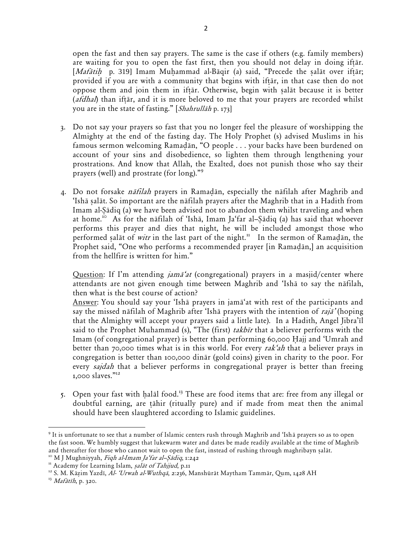open the fast and then say prayers. The same is the case if others (e.g. family members) are waiting for you to open the fast first, then you should not delay in doing iftar. [Mafātih p. 319] Imam Muhammad al-Bāqir (a) said, "Precede the salāt over iftār; provided if you are with a community that begins with iftar, in that case then do not oppose them and join them in iftar. Otherwise, begin with salat because it is better (afdhal) than iftar, and it is more beloved to me that your prayers are recorded whilst you are in the state of fasting." [Shahrullah p. 173]

- 3. Do not say your prayers so fast that you no longer feel the pleasure of worshipping the Almighty at the end of the fasting day. The Holy Prophet (s) advised Muslims in his famous sermon welcoming Ramadān, "O people . . . your backs have been burdened on account of your sins and disobedience, so lighten them through lengthening your prostrations. And know that Allah, the Exalted, does not punish those who say their prayers (well) and prostrate (for long)."<sup>9</sup>
- 4. Do not forsake *nāfilah* prayers in Ramadān, especially the nāfilah after Maghrib and 'Ishā salāt. So important are the nāfilah pravers after the Maghrib that in a Hadith from Imam al-Sādiq (a) we have been advised not to abandon them whilst traveling and when at home.<sup>10</sup> As for the nāfilah of 'Ishā, Imam Ja'far al-Sādiq (a) has said that whoever performs this prayer and dies that night, he will be included amongst those who performed salat of witr in the last part of the night.<sup>11</sup> In the sermon of Ramadan, the Prophet said, "One who performs a recommended prayer [in Ramadān,] an acquisition from the hellfire is written for him.'

Question: If I'm attending *jama'at* (congregational) prayers in a masjid/center where attendants are not given enough time between Maghrib and 'Isha to say the nafilah, then what is the best course of action?

Answer: You should say your 'Isha prayers in jama'at with rest of the participants and say the missed nafilah of Maghrib after 'Isha prayers with the intention of  $raj\bar{a}$ ' (hoping that the Almighty will accept your prayers said a little late). In a Hadith, Angel Jibra'il said to the Prophet Muhammad (s), "The (first) takbir that a believer performs with the Imam (of congregational prayer) is better than performing 60,000 Hajj and 'Umrah and better than 70,000 times what is in this world. For every rak'ah that a believer prays in congregation is better than 100,000 dinar (gold coins) given in charity to the poor. For every *sajdah* that a believer performs in congregational prayer is better than freeing 1,000 slaves."<sup>12</sup>

5. Open your fast with halal food.<sup>13</sup> These are food items that are: free from any illegal or doubtful earning, are tāhir (ritually pure) and if made from meat then the animal should have been slaughtered according to Islamic guidelines.

 $\overline{\phantom{a}}$ 

 $^9$  It is unfortunate to see that a number of Islamic centers rush through Maghrib and 'Ishā prayers so as to open the fast soon. We humbly suggest that lukewarm water and dates be made readily available at the time of Maghrib and thereafter for those who cannot wait to open the fast, instead of rushing through maghribayn salāt.

 $^{10}$  M J Mughniyyah, *Fiqh al-Imam Ja'far al-Sādiq*, 1:242

<sup>&</sup>lt;sup>11</sup> Academy for Learning Islam, salat of Tahjjud, p.11

<sup>&</sup>lt;sup>12</sup> S. M. Kāzim Yazdī, Al- 'Urwah al-Wuthqā, 2:236, Manshūrāt Maytham Tammār, Qum, 1428 AH

 $^{13}$  *Mafātīh*, p. 320.